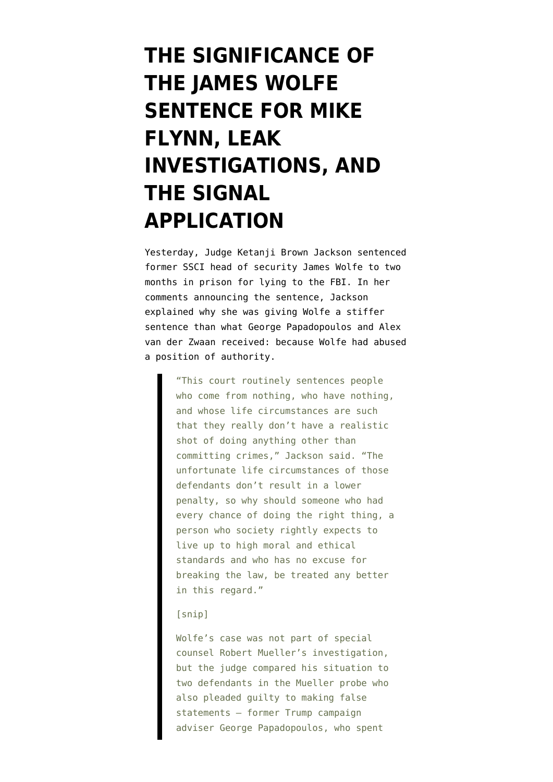# **[THE SIGNIFICANCE OF](https://www.emptywheel.net/2018/12/21/the-significance-of-the-james-wolfe-sentence-for-mike-flynn-leak-investigations-and-the-signal-application/) [THE JAMES WOLFE](https://www.emptywheel.net/2018/12/21/the-significance-of-the-james-wolfe-sentence-for-mike-flynn-leak-investigations-and-the-signal-application/) [SENTENCE FOR MIKE](https://www.emptywheel.net/2018/12/21/the-significance-of-the-james-wolfe-sentence-for-mike-flynn-leak-investigations-and-the-signal-application/) [FLYNN, LEAK](https://www.emptywheel.net/2018/12/21/the-significance-of-the-james-wolfe-sentence-for-mike-flynn-leak-investigations-and-the-signal-application/) [INVESTIGATIONS, AND](https://www.emptywheel.net/2018/12/21/the-significance-of-the-james-wolfe-sentence-for-mike-flynn-leak-investigations-and-the-signal-application/) [THE SIGNAL](https://www.emptywheel.net/2018/12/21/the-significance-of-the-james-wolfe-sentence-for-mike-flynn-leak-investigations-and-the-signal-application/) [APPLICATION](https://www.emptywheel.net/2018/12/21/the-significance-of-the-james-wolfe-sentence-for-mike-flynn-leak-investigations-and-the-signal-application/)**

Yesterday, Judge Ketanji Brown Jackson [sentenced](https://www.buzzfeednews.com/article/zoetillman/james-wolfe-sentencing) former SSCI head of security James Wolfe to two months in prison for lying to the FBI. In her comments announcing the sentence, Jackson explained why she was giving Wolfe a stiffer sentence than what George Papadopoulos and Alex van der Zwaan received: because Wolfe had abused a position of authority.

> "This court routinely sentences people who come from nothing, who have nothing, and whose life circumstances are such that they really don't have a realistic shot of doing anything other than committing crimes," Jackson said. "The unfortunate life circumstances of those defendants don't result in a lower penalty, so why should someone who had every chance of doing the right thing, a person who society rightly expects to live up to high moral and ethical standards and who has no excuse for breaking the law, be treated any better in this regard."

#### [snip]

Wolfe's case was not part of special counsel Robert Mueller's investigation, but the judge compared his situation to two defendants in the Mueller probe who also pleaded guilty to making false statements — former Trump campaign adviser George Papadopoulos, who spent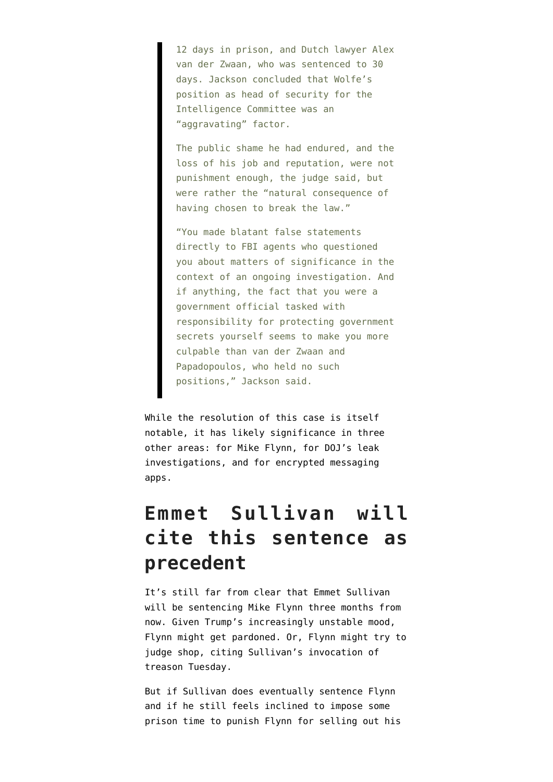12 days in prison, and Dutch lawyer Alex van der Zwaan, who was sentenced to 30 days. Jackson concluded that Wolfe's position as head of security for the Intelligence Committee was an "aggravating" factor.

The public shame he had endured, and the loss of his job and reputation, were not punishment enough, the judge said, but were rather the "natural consequence of having chosen to break the law."

"You made blatant false statements directly to FBI agents who questioned you about matters of significance in the context of an ongoing investigation. And if anything, the fact that you were a government official tasked with responsibility for protecting government secrets yourself seems to make you more culpable than van der Zwaan and Papadopoulos, who held no such positions," Jackson said.

While the resolution of this case is itself notable, it has likely significance in three other areas: for Mike Flynn, for DOJ's leak investigations, and for encrypted messaging apps.

#### **Emmet Sullivan will cite this sentence as precedent**

It's still far from clear that Emmet Sullivan will be sentencing Mike Flynn three months from now. Given Trump's increasingly unstable mood, Flynn might get pardoned. Or, Flynn might try to judge shop, citing Sullivan's invocation of treason Tuesday.

But if Sullivan does eventually sentence Flynn and if he still feels inclined to impose some prison time to punish Flynn for selling out his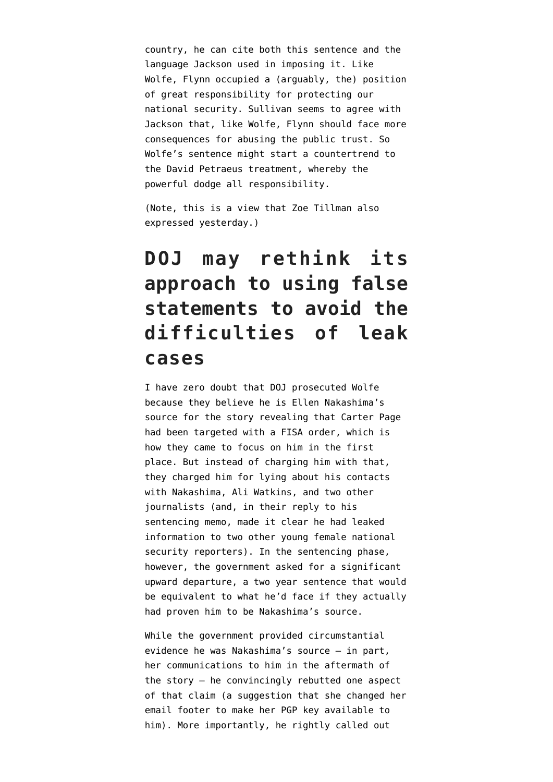country, he can cite both this sentence and the language Jackson used in imposing it. Like Wolfe, Flynn occupied a (arguably, the) position of great responsibility for protecting our national security. Sullivan seems to agree with Jackson that, like Wolfe, Flynn should face more consequences for abusing the public trust. So Wolfe's sentence might start a countertrend to the David Petraeus treatment, whereby the powerful dodge all responsibility.

(Note, this is a view that Zoe Tillman also expressed yesterday.)

### **DOJ may rethink its approach to using false statements to avoid the difficulties of leak cases**

I have zero doubt that DOJ prosecuted Wolfe because they believe he is Ellen Nakashima's source for the [story](https://www.washingtonpost.com/world/national-security/fbi-obtained-fisa-warrant-to-monitor-former-trump-adviser-carter-page/2017/04/11/620192ea-1e0e-11e7-ad74-3a742a6e93a7_story.html) revealing that Carter Page had been targeted with a FISA order, which is how they came to focus on him in the first place. But instead of charging him with that, they charged him for lying about his contacts with Nakashima, Ali Watkins, and two other journalists (and, in their [reply](https://www.courtlistener.com/recap/gov.uscourts.dcd.197472/gov.uscourts.dcd.197472.49.0.pdf) to his sentencing memo, made it clear he had leaked information to two other young female national security reporters). In the sentencing phase, however, the government asked for a significant upward departure, a two year sentence that would be equivalent to what he'd face if they actually had proven him to be Nakashima's source.

While the government provided circumstantial evidence he was Nakashima's source — in part, her communications to him in the aftermath of the story — he convincingly rebutted one aspect of that claim (a suggestion that she changed her email footer to make her PGP key available to him). More importantly, he rightly [called out](https://www.courtlistener.com/recap/gov.uscourts.dcd.197472/gov.uscourts.dcd.197472.51.0_2.pdf)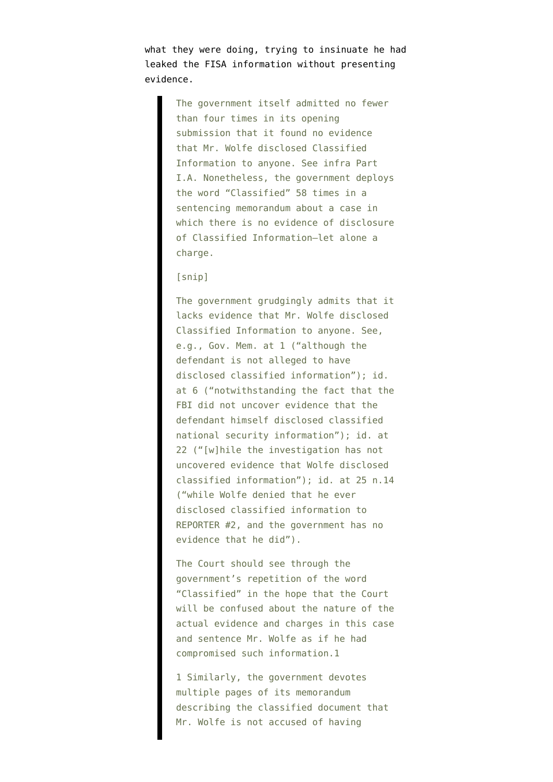what they were doing, trying to insinuate he had leaked the FISA information without presenting evidence.

> The government itself admitted no fewer than four times in its opening submission that it found no evidence that Mr. Wolfe disclosed Classified Information to anyone. See infra Part I.A. Nonetheless, the government deploys the word "Classified" 58 times in a sentencing memorandum about a case in which there is no evidence of disclosure of Classified Information—let alone a charge.

[snip]

The government grudgingly admits that it lacks evidence that Mr. Wolfe disclosed Classified Information to anyone. See, e.g., Gov. Mem. at 1 ("although the defendant is not alleged to have disclosed classified information"); id. at 6 ("notwithstanding the fact that the FBI did not uncover evidence that the defendant himself disclosed classified national security information"); id. at 22 ("[w]hile the investigation has not uncovered evidence that Wolfe disclosed classified information"); id. at 25 n.14 ("while Wolfe denied that he ever disclosed classified information to REPORTER #2, and the government has no evidence that he did").

The Court should see through the government's repetition of the word "Classified" in the hope that the Court will be confused about the nature of the actual evidence and charges in this case and sentence Mr. Wolfe as if he had compromised such information.1

1 Similarly, the government devotes multiple pages of its memorandum describing the classified document that Mr. Wolfe is not accused of having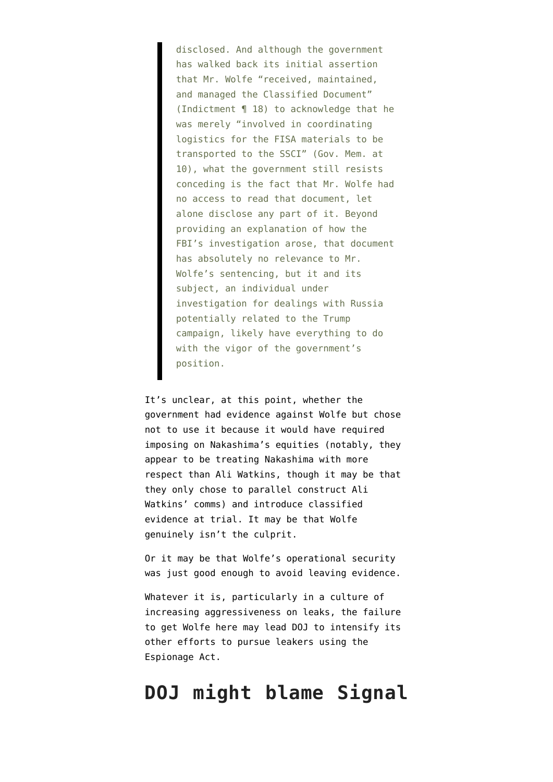disclosed. And although the government has walked back its initial assertion that Mr. Wolfe "received, maintained, and managed the Classified Document" (Indictment ¶ 18) to acknowledge that he was merely "involved in coordinating logistics for the FISA materials to be transported to the SSCI" (Gov. Mem. at 10), what the government still resists conceding is the fact that Mr. Wolfe had no access to read that document, let alone disclose any part of it. Beyond providing an explanation of how the FBI's investigation arose, that document has absolutely no relevance to Mr. Wolfe's sentencing, but it and its subject, an individual under investigation for dealings with Russia potentially related to the Trump campaign, likely have everything to do with the vigor of the government's position.

It's unclear, at this point, whether the government had evidence against Wolfe but chose not to use it because it would have required imposing on Nakashima's equities (notably, they appear to be treating Nakashima with more respect than Ali Watkins, though it may be that they only chose to parallel construct Ali Watkins' comms) and introduce classified evidence at trial. It may be that Wolfe genuinely isn't the culprit.

Or it may be that Wolfe's operational security was just good enough to avoid leaving evidence.

Whatever it is, particularly in a culture of increasing aggressiveness on leaks, the failure to get Wolfe here may lead DOJ to intensify its other efforts to pursue leakers using the Espionage Act.

#### **DOJ might blame Signal**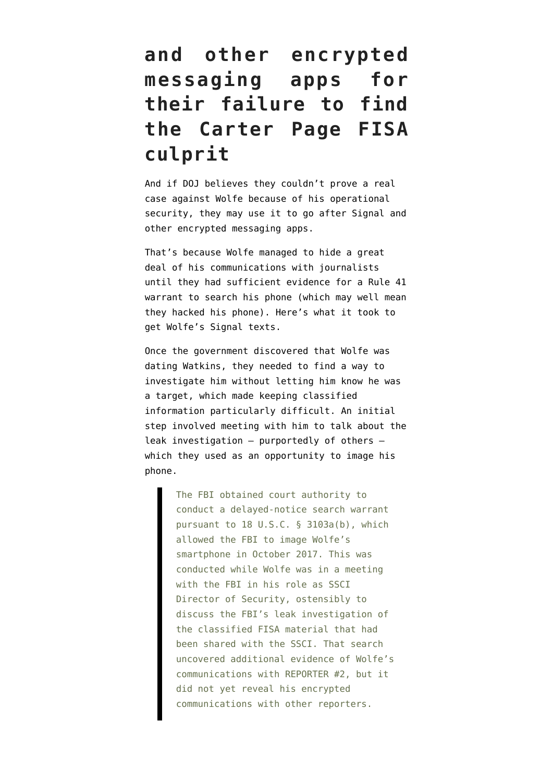## **and other encrypted messaging apps for their failure to find the Carter Page FISA culprit**

And if DOJ believes they couldn't prove a real case against Wolfe because of his operational security, they may use it to go after Signal and other encrypted messaging apps.

That's because Wolfe managed to hide a great deal of his communications with journalists until they had sufficient evidence for a Rule 41 warrant to search his phone (which may well mean they hacked his phone). Here's what it took to get Wolfe's Signal texts.

Once the government discovered that Wolfe was dating Watkins, they needed to find a way to investigate him without letting him know he was a target, which made keeping classified information particularly difficult. An initial step [involved](https://assets.documentcloud.org/documents/5522177/Sentencing-Memorandum.pdf) meeting with him to talk about the leak investigation — purportedly of others which they used as an opportunity to image his phone.

> The FBI obtained court authority to conduct a delayed-notice search warrant pursuant to 18 U.S.C. § 3103a(b), which allowed the FBI to image Wolfe's smartphone in October 2017. This was conducted while Wolfe was in a meeting with the FBI in his role as SSCI Director of Security, ostensibly to discuss the FBI's leak investigation of the classified FISA material that had been shared with the SSCI. That search uncovered additional evidence of Wolfe's communications with REPORTER #2, but it did not yet reveal his encrypted communications with other reporters.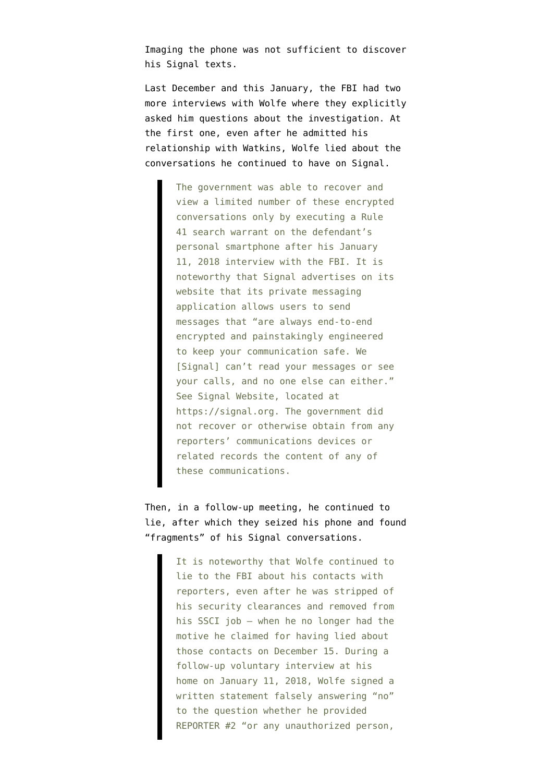Imaging the phone was not sufficient to discover his Signal texts.

Last December and this January, the FBI had two more interviews with Wolfe where they explicitly asked him questions about the investigation. At the first one, even after he admitted his relationship with Watkins, Wolfe lied about the conversations he continued to have on Signal.

> The government was able to recover and view a limited number of these encrypted conversations only by executing a Rule 41 search warrant on the defendant's personal smartphone after his January 11, 2018 interview with the FBI. It is noteworthy that Signal advertises on its website that its private messaging application allows users to send messages that "are always end-to-end encrypted and painstakingly engineered to keep your communication safe. We [Signal] can't read your messages or see your calls, and no one else can either." See Signal Website, located at https://signal.org. The government did not recover or otherwise obtain from any reporters' communications devices or related records the content of any of these communications.

Then, in a follow-up meeting, he continued to lie, after which they seized his phone and found "fragments" of his Signal conversations.

> It is noteworthy that Wolfe continued to lie to the FBI about his contacts with reporters, even after he was stripped of his security clearances and removed from his SSCI job – when he no longer had the motive he claimed for having lied about those contacts on December 15. During a follow-up voluntary interview at his home on January 11, 2018, Wolfe signed a written statement falsely answering "no" to the question whether he provided REPORTER #2 "or any unauthorized person,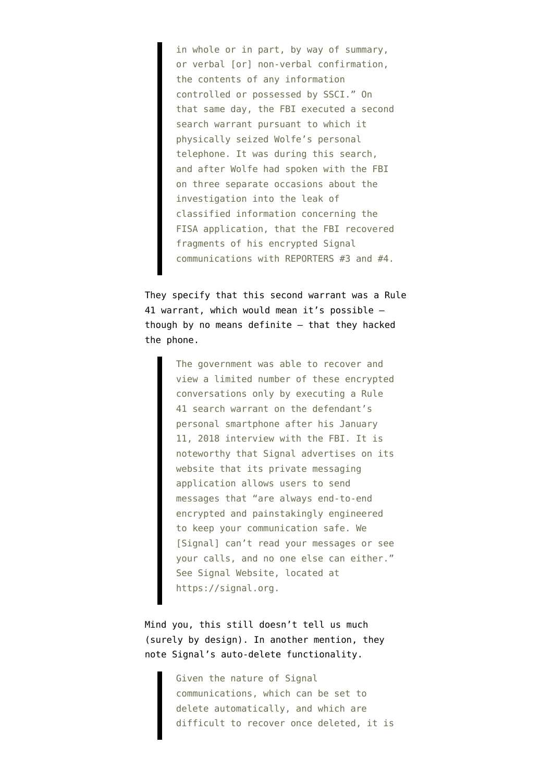in whole or in part, by way of summary, or verbal [or] non-verbal confirmation, the contents of any information controlled or possessed by SSCI." On that same day, the FBI executed a second search warrant pursuant to which it physically seized Wolfe's personal telephone. It was during this search, and after Wolfe had spoken with the FBI on three separate occasions about the investigation into the leak of classified information concerning the FISA application, that the FBI recovered fragments of his encrypted Signal communications with REPORTERS #3 and #4.

They specify that this second warrant was a Rule 41 warrant, which would mean it's possible though by no means definite — that they hacked the phone.

> The government was able to recover and view a limited number of these encrypted conversations only by executing a Rule 41 search warrant on the defendant's personal smartphone after his January 11, 2018 interview with the FBI. It is noteworthy that Signal advertises on its website that its private messaging application allows users to send messages that "are always end-to-end encrypted and painstakingly engineered to keep your communication safe. We [Signal] can't read your messages or see your calls, and no one else can either." See Signal Website, located at https://signal.org.

Mind you, this still doesn't tell us much (surely by design). In another mention, they note Signal's auto-delete functionality.

> Given the nature of Signal communications, which can be set to delete automatically, and which are difficult to recover once deleted, it is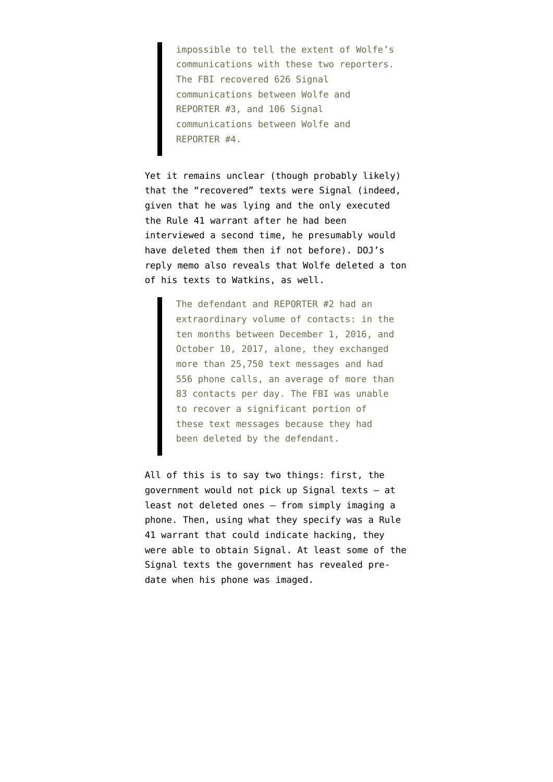impossible to tell the extent of Wolfe's communications with these two reporters. The FBI recovered 626 Signal communications between Wolfe and REPORTER #3, and 106 Signal communications between Wolfe and REPORTER #4.

Yet it remains unclear (though probably likely) that the "recovered" texts were Signal (indeed, given that he was lying and the only executed the Rule 41 warrant after he had been interviewed a second time, he presumably would have deleted them then if not before). DOJ's reply memo also [reveals](https://www.courtlistener.com/recap/gov.uscourts.dcd.197472/gov.uscourts.dcd.197472.49.0.pdf) that Wolfe deleted a ton of his texts to Watkins, as well.

> The defendant and REPORTER #2 had an extraordinary volume of contacts: in the ten months between December 1, 2016, and October 10, 2017, alone, they exchanged more than 25,750 text messages and had 556 phone calls, an average of more than 83 contacts per day. The FBI was unable to recover a significant portion of these text messages because they had been deleted by the defendant.

All of this is to say two things: first, the government would not pick up Signal texts — at least not deleted ones — from simply imaging a phone. Then, using what they specify was a Rule 41 warrant that could indicate hacking, they were able to obtain Signal. At least some of the Signal texts the government has revealed predate when his phone was imaged.